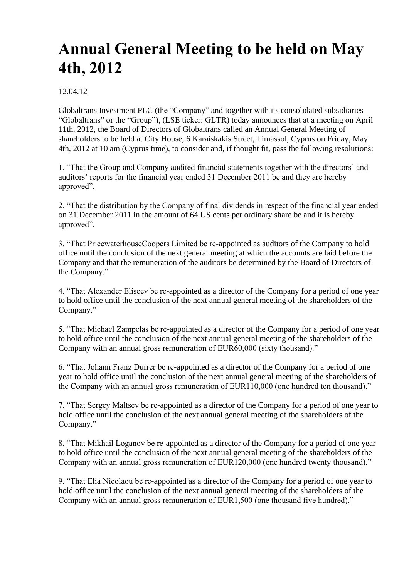## **Annual General Meeting to be held on May 4th, 2012**

12.04.12

Globaltrans Investment PLC (the "Company" and together with its consolidated subsidiaries "Globaltrans" or the "Group"), (LSE ticker: GLTR) today announces that at a meeting on April 11th, 2012, the Board of Directors of Globaltrans called an Annual General Meeting of shareholders to be held at City House, 6 Karaiskakis Street, Limassol, Cyprus on Friday, May 4th, 2012 at 10 am (Cyprus time), to consider and, if thought fit, pass the following resolutions:

1. "That the Group and Company audited financial statements together with the directors' and auditors' reports for the financial year ended 31 December 2011 be and they are hereby approved".

2. "That the distribution by the Company of final dividends in respect of the financial year ended on 31 December 2011 in the amount of 64 US cents per ordinary share be and it is hereby approved".

3. "That PricewaterhouseCoopers Limited be re-appointed as auditors of the Company to hold office until the conclusion of the next general meeting at which the accounts are laid before the Company and that the remuneration of the auditors be determined by the Board of Directors of the Company."

4. "That Alexander Eliseev be re-appointed as a director of the Company for a period of one year to hold office until the conclusion of the next annual general meeting of the shareholders of the Company."

5. "That Michael Zampelas be re-appointed as a director of the Company for a period of one year to hold office until the conclusion of the next annual general meeting of the shareholders of the Company with an annual gross remuneration of EUR60,000 (sixty thousand)."

6. "That Johann Franz Durrer be re-appointed as a director of the Company for a period of one year to hold office until the conclusion of the next annual general meeting of the shareholders of the Company with an annual gross remuneration of EUR110,000 (one hundred ten thousand)."

7. "That Sergey Maltsev be re-appointed as a director of the Company for a period of one year to hold office until the conclusion of the next annual general meeting of the shareholders of the Company."

8. "That Mikhail Loganov be re-appointed as a director of the Company for a period of one year to hold office until the conclusion of the next annual general meeting of the shareholders of the Company with an annual gross remuneration of EUR120,000 (one hundred twenty thousand)."

9. "That Elia Nicolaou be re-appointed as a director of the Company for a period of one year to hold office until the conclusion of the next annual general meeting of the shareholders of the Company with an annual gross remuneration of EUR1,500 (one thousand five hundred)."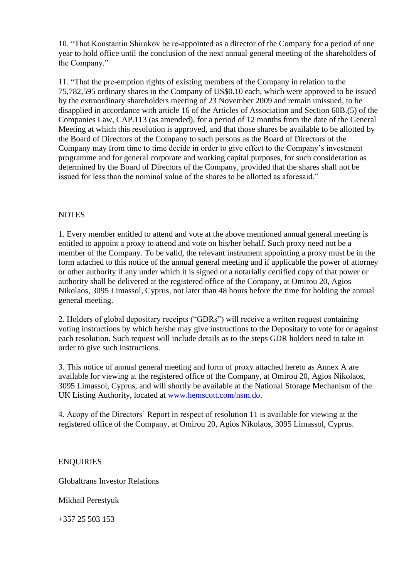10. "That Konstantin Shirokov be re-appointed as a director of the Company for a period of one year to hold office until the conclusion of the next annual general meeting of the shareholders of the Company."

11. "That the pre-emption rights of existing members of the Company in relation to the 75,782,595 ordinary shares in the Company of US\$0.10 each, which were approved to be issued by the extraordinary shareholders meeting of 23 November 2009 and remain unissued, to be disapplied in accordance with article 16 of the Articles of Association and Section 60B.(5) of the Companies Law, CAP.113 (as amended), for a period of 12 months from the date of the General Meeting at which this resolution is approved, and that those shares be available to be allotted by the Board of Directors of the Company to such persons as the Board of Directors of the Company may from time to time decide in order to give effect to the Company's investment programme and for general corporate and working capital purposes, for such consideration as determined by the Board of Directors of the Company, provided that the shares shall not be issued for less than the nominal value of the shares to be allotted as aforesaid."

## **NOTES**

1. Every member entitled to attend and vote at the above mentioned annual general meeting is entitled to appoint a proxy to attend and vote on his/her behalf. Such proxy need not be a member of the Company. To be valid, the relevant instrument appointing a proxy must be in the form attached to this notice of the annual general meeting and if applicable the power of attorney or other authority if any under which it is signed or a notarially certified copy of that power or authority shall be delivered at the registered office of the Company, at Omirou 20, Agios Nikolaos, 3095 Limassol, Cyprus, not later than 48 hours before the time for holding the annual general meeting.

2. Holders of global depositary receipts ("GDRs") will receive a written request containing voting instructions by which he/she may give instructions to the Depositary to vote for or against each resolution. Such request will include details as to the steps GDR holders need to take in order to give such instructions.

3. This notice of annual general meeting and form of proxy attached hereto as Annex A are available for viewing at the registered office of the Company, at Omirou 20, Agios Nikolaos, 3095 Limassol, Cyprus, and will shortly be available at the National Storage Mechanism of the UK Listing Authority, located at [www.hemscott.com/nsm.do.](http://www.hemscott.com/nsm.do)

4. Acopy of the Directors' Report in respect of resolution 11 is available for viewing at the registered office of the Company, at Omirou 20, Agios Nikolaos, 3095 Limassol, Cyprus.

**ENOUIRIES** 

Globaltrans Investor Relations

Mikhail Perestyuk

+357 25 503 153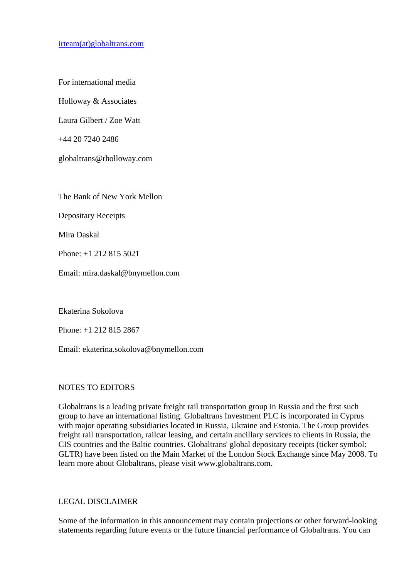[irteam\(at\)globaltrans.com](mailto:irteam@globaltrans.com)

For international media

Holloway & Associates

Laura Gilbert / Zoe Watt

+44 20 7240 2486

globaltrans@rholloway.com

The Bank of New York Mellon

Depositary Receipts

Mira Daskal

Phone: +1 212 815 5021

Email: mira.daskal@bnymellon.com

Ekaterina Sokolova

Phone: +1 212 815 2867

Email: ekaterina.sokolova@bnymellon.com

## NOTES TO EDITORS

Globaltrans is a leading private freight rail transportation group in Russia and the first such group to have an international listing. Globaltrans Investment PLC is incorporated in Cyprus with major operating subsidiaries located in Russia, Ukraine and Estonia. The Group provides freight rail transportation, railcar leasing, and certain ancillary services to clients in Russia, the CIS countries and the Baltic countries. Globaltrans' global depositary receipts (ticker symbol: GLTR) have been listed on the Main Market of the London Stock Exchange since May 2008. To learn more about Globaltrans, please visit www.globaltrans.com.

## LEGAL DISCLAIMER

Some of the information in this announcement may contain projections or other forward-looking statements regarding future events or the future financial performance of Globaltrans. You can